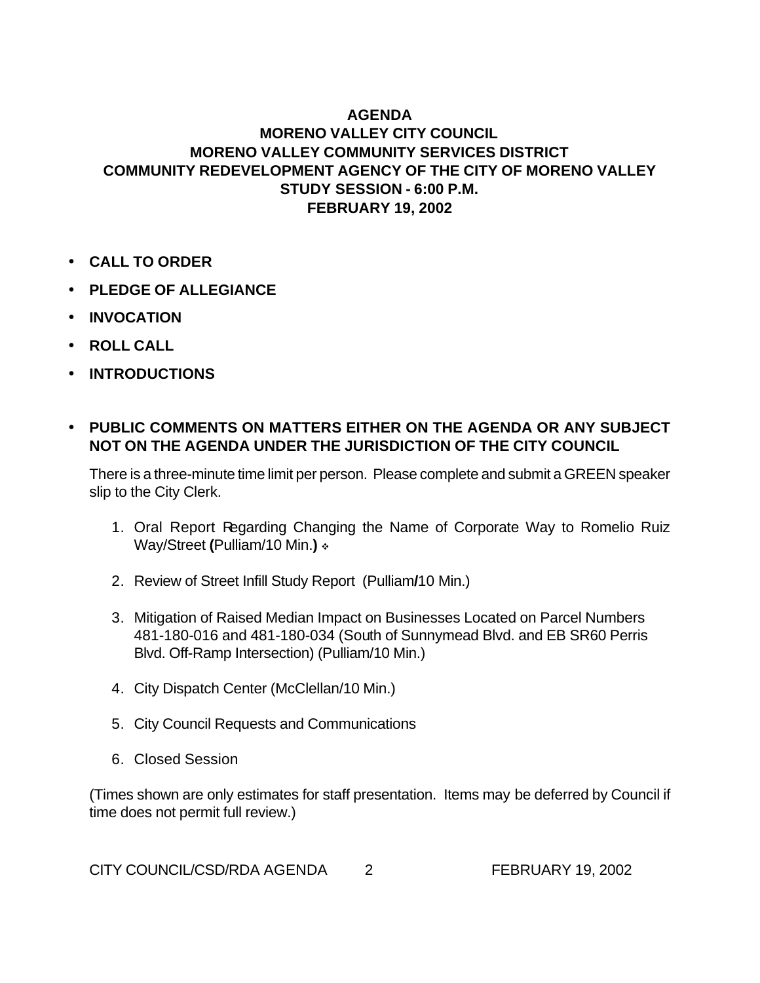## **AGENDA MORENO VALLEY CITY COUNCIL MORENO VALLEY COMMUNITY SERVICES DISTRICT COMMUNITY REDEVELOPMENT AGENCY OF THE CITY OF MORENO VALLEY STUDY SESSION - 6:00 P.M. FEBRUARY 19, 2002**

- **CALL TO ORDER**
- **PLEDGE OF ALLEGIANCE**
- **INVOCATION**
- **ROLL CALL**
- **INTRODUCTIONS**

## • **PUBLIC COMMENTS ON MATTERS EITHER ON THE AGENDA OR ANY SUBJECT NOT ON THE AGENDA UNDER THE JURISDICTION OF THE CITY COUNCIL**

There is a three-minute time limit per person. Please complete and submit a GREEN speaker slip to the City Clerk.

- 1. Oral Report Regarding Changing the Name of Corporate Way to Romelio Ruiz Way/Street (Pulliam/10 Min.) \*
- 2. Review of Street Infill Study Report (Pulliam**/**10 Min.)
- 3. Mitigation of Raised Median Impact on Businesses Located on Parcel Numbers 481-180-016 and 481-180-034 (South of Sunnymead Blvd. and EB SR60 Perris Blvd. Off-Ramp Intersection) (Pulliam/10 Min.)
- 4. City Dispatch Center (McClellan/10 Min.)
- 5. City Council Requests and Communications
- 6. Closed Session

(Times shown are only estimates for staff presentation. Items may be deferred by Council if time does not permit full review.)

CITY COUNCIL/CSD/RDA AGENDA 2 FEBRUARY 19, 2002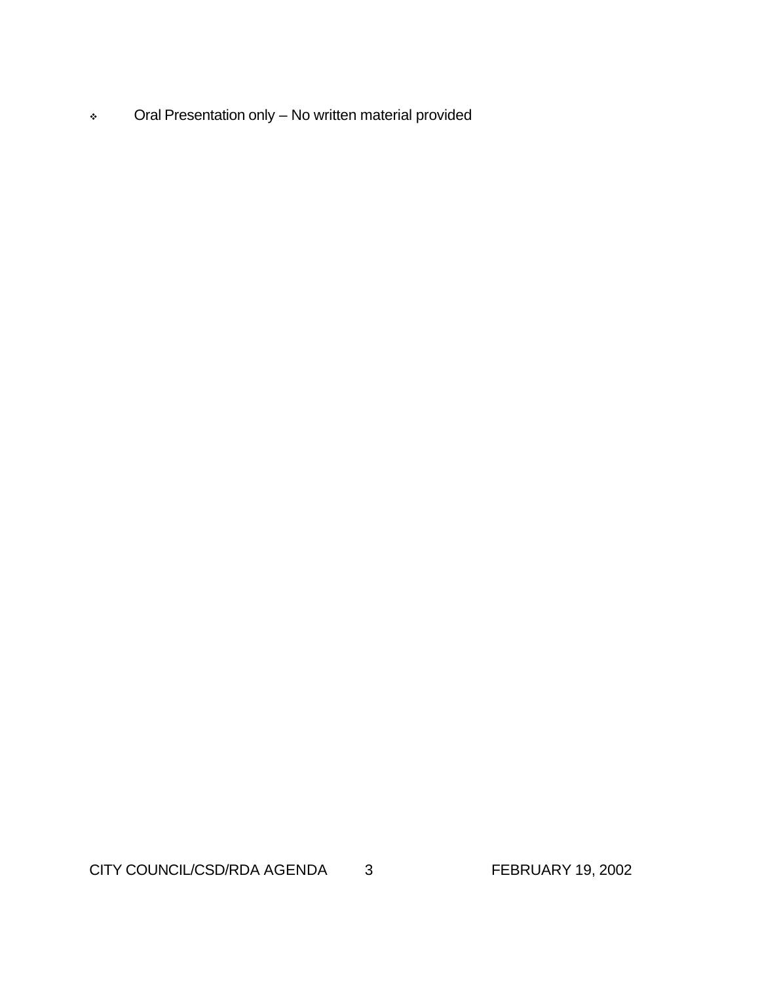<sup>v</sup> Oral Presentation only – No written material provided